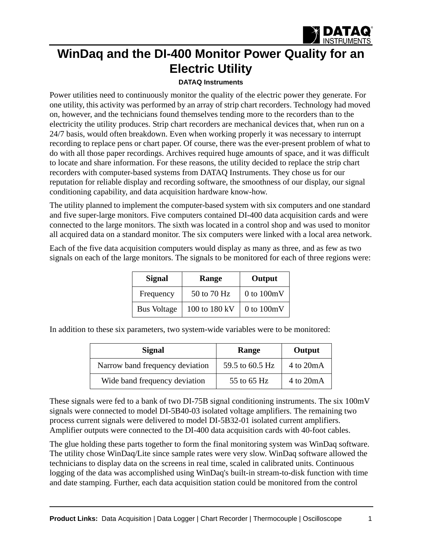

## **WinDaq and the DI-400 Monitor Power Quality for an Electric Utility**

## **[DATAQ Instruments](http://www.dataq.com)**

Power utilities need to continuously monitor the quality of the electric power they generate. For one utility, this activity was performed by an array of strip chart recorders. Technology had moved on, however, and the technicians found themselves tending more to the recorders than to the electricity the utility produces. Strip chart recorders are mechanical devices that, when run on a 24/7 basis, would often breakdown. Even when working properly it was necessary to interrupt recording to replace pens or chart paper. Of course, there was the ever-present problem of what to do with all those paper recordings. Archives required huge amounts of space, and it was difficult to locate and share information. For these reasons, the utility decided to replace the strip chart recorders with computer-based systems from DATAQ Instruments. They chose us for our reputation for reliable display and recording software, the smoothness of our display, our signal conditioning capability, and data acquisition hardware know-how.

The utility planned to implement the computer-based system with six computers and one standard and five super-large monitors. Five computers contained DI-400 data acquisition cards and were connected to the large monitors. The sixth was located in a control shop and was used to monitor all acquired data on a standard monitor. The six computers were linked with a local area network.

Each of the five data acquisition computers would display as many as three, and as few as two signals on each of the large monitors. The signals to be monitored for each of three regions were:

| <b>Signal</b>      | Range         | Output         |
|--------------------|---------------|----------------|
| Frequency          | 50 to 70 Hz   | $0$ to $100mV$ |
| <b>Bus Voltage</b> | 100 to 180 kV | $0$ to $100mV$ |

In addition to these six parameters, two system-wide variables were to be monitored:

| <b>Signal</b>                   | Range           | Output                       |
|---------------------------------|-----------------|------------------------------|
| Narrow band frequency deviation | 59.5 to 60.5 Hz | $4 \text{ to } 20 \text{mA}$ |
| Wide band frequency deviation   | 55 to 65 Hz     | $4 \text{ to } 20 \text{mA}$ |

These signals were fed to a bank of two DI-75B signal conditioning instruments. The six 100mV signals were connected to model DI-5B40-03 isolated voltage amplifiers. The remaining two process current signals were delivered to model DI-5B32-01 isolated current amplifiers. Amplifier outputs were connected to the DI-400 data acquisition cards with 40-foot cables.

The glue holding these parts together to form the final monitoring system was WinDaq software. The utility chose WinDaq/Lite since sample rates were very slow. WinDaq software allowed the technicians to display data on the screens in real time, scaled in calibrated units. Continuous logging of the data was accomplished using WinDaq's built-in stream-to-disk function with time and date stamping. Further, each data acquisition station could be monitored from the control